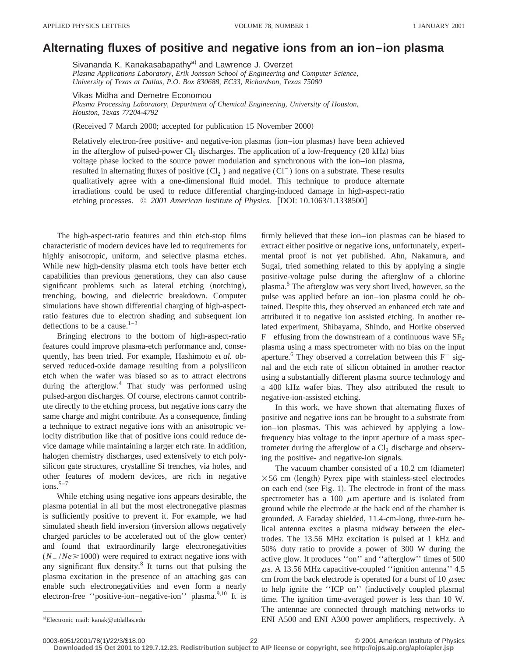## **Alternating fluxes of positive and negative ions from an ion–ion plasma**

Sivananda K. Kanakasabapathy<sup>a)</sup> and Lawrence J. Overzet *Plasma Applications Laboratory, Erik Jonsson School of Engineering and Computer Science, University of Texas at Dallas, P.O. Box 830688, EC33, Richardson, Texas 75080*

Vikas Midha and Demetre Economou

*Plasma Processing Laboratory, Department of Chemical Engineering, University of Houston, Houston, Texas 77204-4792*

(Received 7 March 2000; accepted for publication 15 November 2000)

Relatively electron-free positive- and negative-ion plasmas (ion–ion plasmas) have been achieved in the afterglow of pulsed-power  $Cl_2$  discharges. The application of a low-frequency  $(20 \text{ kHz})$  bias voltage phase locked to the source power modulation and synchronous with the ion–ion plasma, resulted in alternating fluxes of positive  $(Cl_2^+)$  and negative  $(Cl^-)$  ions on a substrate. These results qualitatively agree with a one-dimensional fluid model. This technique to produce alternate irradiations could be used to reduce differential charging-induced damage in high-aspect-ratio etching processes.  $\degree$  2001 American Institute of Physics. [DOI: 10.1063/1.1338500]

The high-aspect-ratio features and thin etch-stop films characteristic of modern devices have led to requirements for highly anisotropic, uniform, and selective plasma etches. While new high-density plasma etch tools have better etch capabilities than previous generations, they can also cause significant problems such as lateral etching (notching), trenching, bowing, and dielectric breakdown. Computer simulations have shown differential charging of high-aspectratio features due to electron shading and subsequent ion deflections to be a cause. $1-3$ 

Bringing electrons to the bottom of high-aspect-ratio features could improve plasma-etch performance and, consequently, has been tried. For example, Hashimoto *et al.* observed reduced-oxide damage resulting from a polysilicon etch when the wafer was biased so as to attract electrons during the afterglow.<sup>4</sup> That study was performed using pulsed-argon discharges. Of course, electrons cannot contribute directly to the etching process, but negative ions carry the same charge and might contribute. As a consequence, finding a technique to extract negative ions with an anisotropic velocity distribution like that of positive ions could reduce device damage while maintaining a larger etch rate. In addition, halogen chemistry discharges, used extensively to etch polysilicon gate structures, crystalline Si trenches, via holes, and other features of modern devices, are rich in negative  $ions.<sup>5-7</sup>$ 

While etching using negative ions appears desirable, the plasma potential in all but the most electronegative plasmas is sufficiently positive to prevent it. For example, we had simulated sheath field inversion (inversion allows negatively charged particles to be accelerated out of the glow center) and found that extraordinarily large electronegativities  $(N_{-}/Ne \ge 1000)$  were required to extract negative ions with any significant flux density. $8$  It turns out that pulsing the plasma excitation in the presence of an attaching gas can enable such electronegativities and even form a nearly electron-free "positive-ion–negative-ion" plasma.<sup>9,10</sup> It is firmly believed that these ion–ion plasmas can be biased to extract either positive or negative ions, unfortunately, experimental proof is not yet published. Ahn, Nakamura, and Sugai, tried something related to this by applying a single positive-voltage pulse during the afterglow of a chlorine plasma.5 The afterglow was very short lived, however, so the pulse was applied before an ion–ion plasma could be obtained. Despite this, they observed an enhanced etch rate and attributed it to negative ion assisted etching. In another related experiment, Shibayama, Shindo, and Horike observed  $F^-$  effusing from the downstream of a continuous wave  $SF_6$ plasma using a mass spectrometer with no bias on the input aperture.<sup>6</sup> They observed a correlation between this  $F^-$  signal and the etch rate of silicon obtained in another reactor using a substantially different plasma source technology and a 400 kHz wafer bias. They also attributed the result to negative-ion-assisted etching.

In this work, we have shown that alternating fluxes of positive and negative ions can be brought to a substrate from ion–ion plasmas. This was achieved by applying a lowfrequency bias voltage to the input aperture of a mass spectrometer during the afterglow of a  $Cl<sub>2</sub>$  discharge and observing the positive- and negative-ion signals.

The vacuum chamber consisted of a  $10.2 \text{ cm}$  (diameter)  $\times$  56 cm (length) Pyrex pipe with stainless-steel electrodes on each end (see Fig. 1). The electrode in front of the mass spectrometer has a 100  $\mu$ m aperture and is isolated from ground while the electrode at the back end of the chamber is grounded. A Faraday shielded, 11.4-cm-long, three-turn helical antenna excites a plasma midway between the electrodes. The 13.56 MHz excitation is pulsed at 1 kHz and 50% duty ratio to provide a power of 300 W during the active glow. It produces ''on'' and ''afterglow'' times of 500  $\mu$ s. A 13.56 MHz capacitive-coupled "ignition antenna" 4.5 cm from the back electrode is operated for a burst of 10  $\mu$ sec to help ignite the "ICP on" (inductively coupled plasma) time. The ignition time-averaged power is less than 10 W. The antennae are connected through matching networks to ENI A500 and ENI A300 power amplifiers, respectively. A

**Downloaded 15 Oct 2001 to 129.7.12.23. Redistribution subject to AIP license or copyright, see http://ojps.aip.org/aplo/aplcr.jsp**

a)Electronic mail: kanak@utdallas.edu

<sup>0003-6951/2001/78(1)/22/3/\$18.00 © 2001</sup> American Institute of Physics 22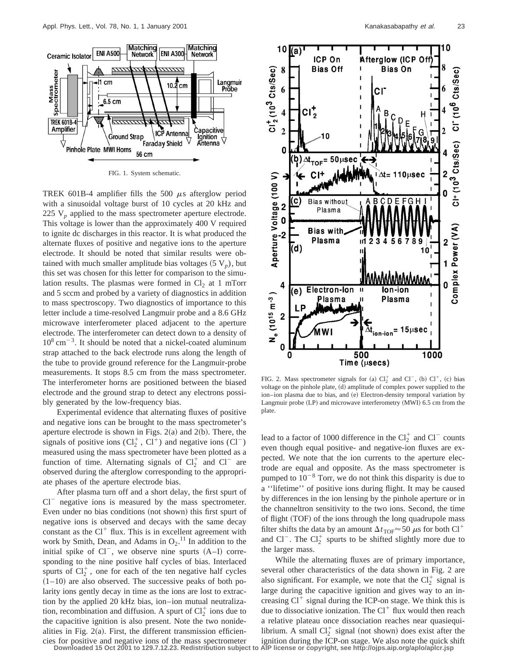

FIG. 1. System schematic.

TREK 601B-4 amplifier fills the 500  $\mu$ s afterglow period with a sinusoidal voltage burst of 10 cycles at 20 kHz and 225 V<sub>p</sub> applied to the mass spectrometer aperture electrode. This voltage is lower than the approximately 400 V required to ignite dc discharges in this reactor. It is what produced the alternate fluxes of positive and negative ions to the aperture electrode. It should be noted that similar results were obtained with much smaller amplitude bias voltages  $(5 V_p)$ , but this set was chosen for this letter for comparison to the simulation results. The plasmas were formed in  $Cl<sub>2</sub>$  at 1 mTorr and 5 sccm and probed by a variety of diagnostics in addition to mass spectroscopy. Two diagnostics of importance to this letter include a time-resolved Langmuir probe and a 8.6 GHz microwave interferometer placed adjacent to the aperture electrode. The interferometer can detect down to a density of  $10^8$  cm<sup>-3</sup>. It should be noted that a nickel-coated aluminum strap attached to the back electrode runs along the length of the tube to provide ground reference for the Langmuir-probe measurements. It stops 8.5 cm from the mass spectrometer. The interferometer horns are positioned between the biased electrode and the ground strap to detect any electrons possibly generated by the low-frequency bias.

Experimental evidence that alternating fluxes of positive and negative ions can be brought to the mass spectrometer's aperture electrode is shown in Figs.  $2(a)$  and  $2(b)$ . There, the signals of positive ions  $(Cl_2^+, Cl^+)$  and negative ions  $(Cl^-)$ measured using the mass spectrometer have been plotted as a function of time. Alternating signals of  $Cl_2^+$  and  $Cl^-$  are observed during the afterglow corresponding to the appropriate phases of the aperture electrode bias.

After plasma turn off and a short delay, the first spurt of  $Cl^-$  negative ions is measured by the mass spectrometer. Even under no bias conditions (not shown) this first spurt of negative ions is observed and decays with the same decay constant as the  $Cl<sup>+</sup>$  flux. This is in excellent agreement with work by Smith, Dean, and Adams in  $O_2$ .<sup>11</sup> In addition to the initial spike of  $Cl^-$ , we observe nine spurts  $(A-I)$  corresponding to the nine positive half cycles of bias. Interlaced spurts of  $Cl_2^+$ , one for each of the ten negative half cycles  $(1–10)$  are also observed. The successive peaks of both polarity ions gently decay in time as the ions are lost to extraction by the applied 20 kHz bias, ion–ion mutual neutralization, recombination and diffusion. A spurt of  $Cl_2^+$  ions due to the capacitive ignition is also present. Note the two nonidealities in Fig.  $2(a)$ . First, the different transmission efficiencies for positive and negative ions of the mass spectrometer Downloaded 15 Oct 2001 to 129.7.12.23. Redistribution subject to



FIG. 2. Mass spectrometer signals for (a)  $Cl_2^+$  and  $Cl^-$ , (b)  $Cl^+$ , (c) bias voltage on the pinhole plate, (d) amplitude of complex power supplied to the ion–ion plasma due to bias, and (e) Electron-density temporal variation by Langmuir probe  $(LP)$  and microwave interferometry  $(MWI)$  6.5 cm from the plate.

lead to a factor of 1000 difference in the  $Cl_2^+$  and  $Cl^-$  counts even though equal positive- and negative-ion fluxes are expected. We note that the ion currents to the aperture electrode are equal and opposite. As the mass spectrometer is pumped to  $10^{-8}$  Torr, we do not think this disparity is due to a ''lifetime'' of positive ions during flight. It may be caused by differences in the ion lensing by the pinhole aperture or in the channeltron sensitivity to the two ions. Second, the time of flight (TOF) of the ions through the long quadrupole mass filter shifts the data by an amount  $\Delta t_{\text{TOF}} \approx 50 \ \mu s$  for both Cl<sup>+</sup> and Cl<sup>-</sup>. The Cl<sub>2</sub><sup>+</sup> spurts to be shifted slightly more due to the larger mass.

While the alternating fluxes are of primary importance, several other characteristics of the data shown in Fig. 2 are also significant. For example, we note that the  $Cl_2^+$  signal is large during the capacitive ignition and gives way to an increasing  $Cl^+$  signal during the ICP-on stage. We think this is due to dissociative ionization. The  $Cl<sup>+</sup>$  flux would then reach a relative plateau once dissociation reaches near quasiequilibrium. A small  $Cl_2^+$  signal (not shown) does exist after the ignition during the ICP-on stage. We also note the quick shift AIP license or copyright, see http://ojps.aip.org/aplo/aplcr.jsp